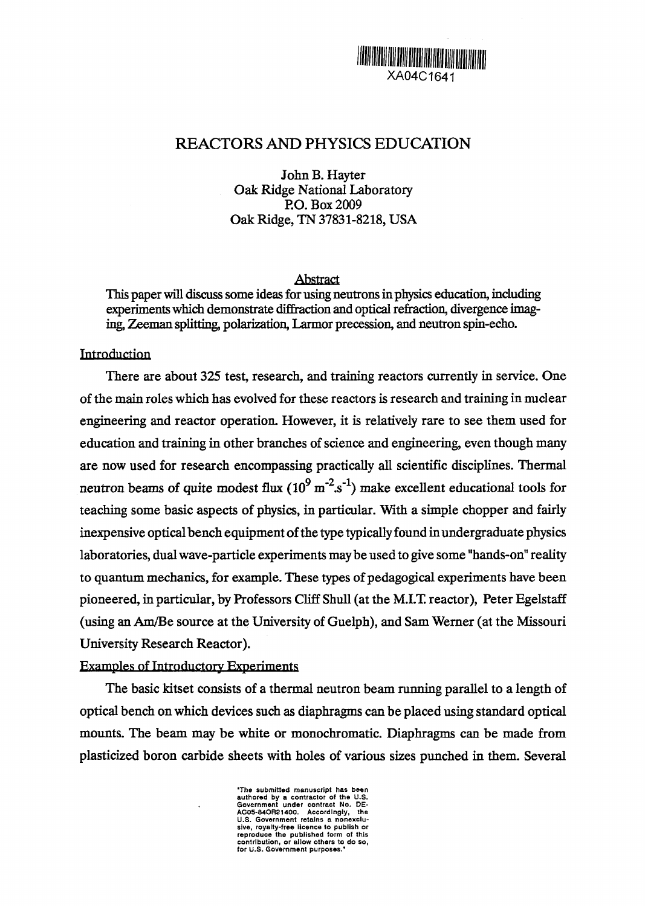# XA04C1641

## REACTORS AND PHYSICS EDUCATION

John B. Hayter Oak Ridge National Laboratory RO. Box 2009 Oak Ridge, TN 37831-8218, USA

#### Abstract

This paper will discuss some ideas for using neutrons in physics education, including experiments which demonstrate dffraction and optical refraction, divergence imaging, Zeeman splitting, polarization, Larmor precession, and neutron spin-echo.

#### Introduction

There are about 325 test, research, and training reactors currently in service. One of the main roles which has evolved for these reactors is research and training in nuclear engineering and reactor operation. However, it is relatively rare to see them used for education and training in other branches of science and engineering, even though many are now used for research encompassing practically all scientific disciplines. Thermal neutron beams of quite modest flux  $(10^9 \text{ m}^2 \text{ s}^2)$  make excellent educational tools for teaching some basic aspects of physics, in particular. With a simple chopper and fairly inexpensive optical bench equipment of the type typically found in undergraduate physics laboratories, dual wave-particle experiments may be used to give some "hands-on" reality to quantum mechanics, for example. These types of pedagogical experiments have been pioneered, in particular, by Professors Cliff Shull (at the MIT reactor), Peter Egelstaff (using an Am/Be source at the University of Guelph), and Sam Werner (at the Missouri University Research Reactor).

#### Examples of Introductory Experiments

The basic kitset consists of a thermal neutron beam running parallel to a length of optical bench on which devices such as diaphragms can be placed using standard optical mounts. The beam may be white or monochromatic. Diaphragms can be made from plasticized boron carbide sheets with holes of various sizes punched in them. Several

> The submitted manuscript has been<br>authored by a contractor of the U.S.<br>Government under contract No. DE-<br>AC05-84OR21400. Accordingly, the<br>U.S. Government retains a nonexclu-Siva, royalty-free licence to publish or reproduce the published form of this contribution, or allow others to do so, for U.S. Government purposes.'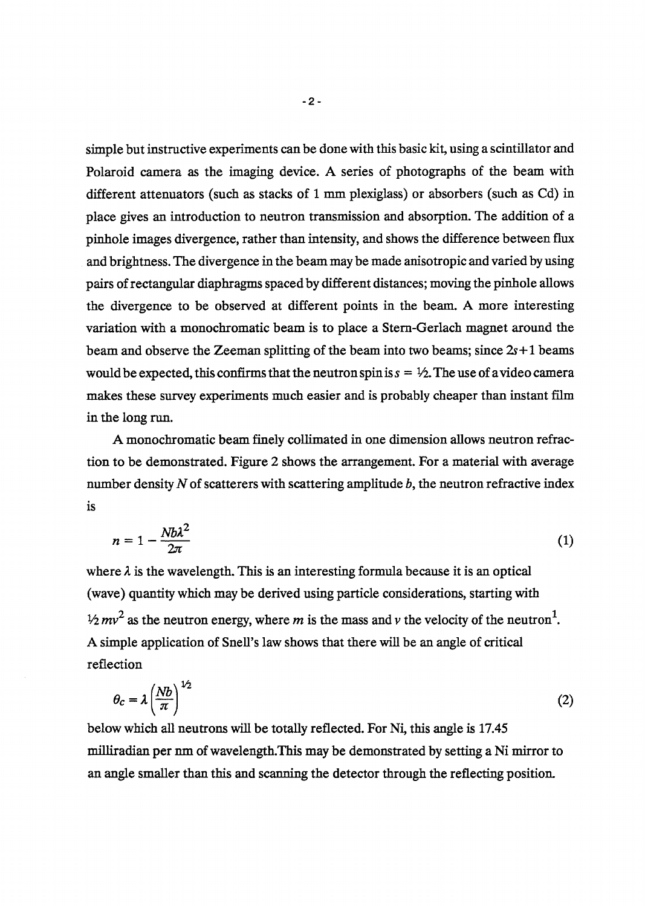simple but instructive experiments can be done with this basic kit, using a scintillator and Polaroid camera as the imaging device. A series of photographs of the beam with different attenuators (such as stacks of 1 mm plexiglass) or absorbers (such as Cd) in place gives an introduction to neutron transmission and absorption. The addition of a pinhole images divergence, rather than intensity, and shows the difference between flux and brightness. The divergence in the beam may be made anisotropic and varied by using pairs of rectangular diaphragms spaced by different distances; moving the pinhole allows the divergence to be observed at different points in the beam. A more interesting variation with a monochromatic beam is to place a Stem-Gerlach magnet around the beam and observe the Zeeman splitting of the beam into two beams; since  $2s+1$  beams would be expected, this confirms that the neutron spin is  $s = \frac{1}{2}$ . The use of a video camera makes these survey experiments much easier and is probably cheaper than instant film in the long run.

A monochromatic beam finely collimated in one dimension allows neutron refraction to be demonstrated. Figure 2 shows the arrangement. For a material with average number density  $N$  of scatterers with scattering amplitude  $b$ , the neutron refractive index is

$$
n = 1 - \frac{N b \lambda^2}{2\pi} \tag{1}
$$

where  $\lambda$  is the wavelength. This is an interesting formula because it is an optical (wave) quantity which may be derived using particle considerations, starting with  $\frac{1}{2}mv^2$  as the neutron energy, where m is the mass and v the velocity of the neutron<sup>1</sup>. A simple application of Snell's law shows that there will be an angle of critical reflection

$$
\theta_c = \lambda \left(\frac{Nb}{\pi}\right)^{1/2} \tag{2}
$$

below which all neutrons will be totally reflected. For Ni, this angle is 17.45 milliradian per nm of wavelength.This may be demonstrated by setting a Ni mirror to an angle smaller than this and scanning the detector through the reflecting position.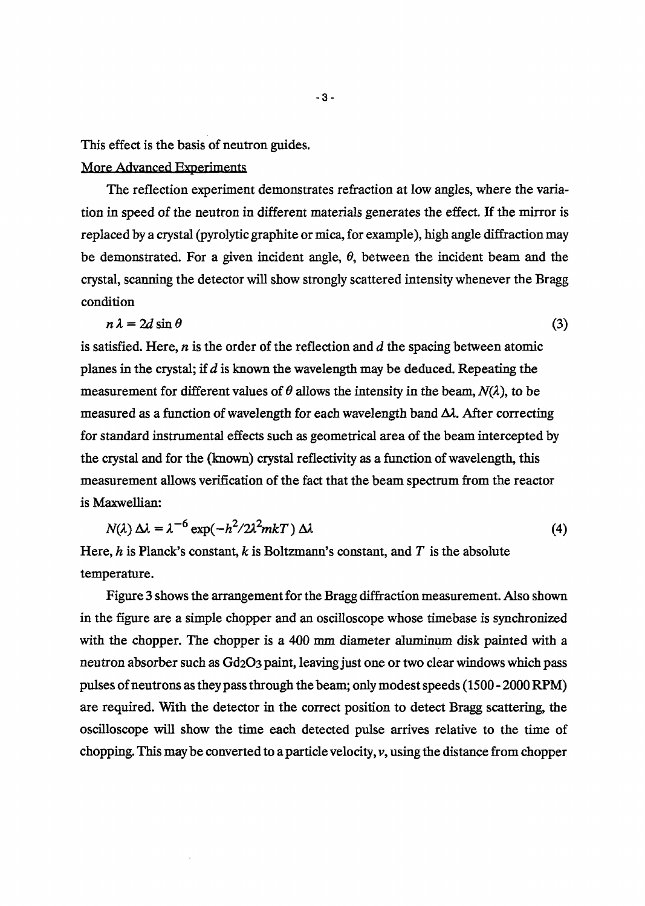This effect is the basis of neutron guides.

### More Advanced Experiments

The reflection experiment demonstrates refraction at low angles, where the variation in speed of the neutron in different materials generates the effect. If the mirror is replaced by a crystal (pyrolytic graphite or mica, for example), high angle diffraction may be demonstrated. For a given incident angle,  $\theta$ , between the incident beam and the crystal, scanning the detector will show strongly scattered intensity whenever the Bragg condition

$$
n\lambda = 2d\sin\theta\tag{3}
$$

is satisfied. Here,  $n$  is the order of the reflection and  $d$  the spacing between atomic planes in the crystal; if  $d$  is known the wavelength may be deduced. Repeating the measurement for different values of  $\theta$  allows the intensity in the beam,  $N(\lambda)$ , to be measured as a function of wavelength for each wavelength band  $\Delta\lambda$ . After correcting for standard instrumental effects such as geometrical area of the beam intercepted by the crystal and for the (known) crystal reflectivity as a function of wavelength, this measurement allows verification of the fact that the beam spectrum from the reactor is Maxwellian:

$$
N(\lambda) \Delta \lambda = \lambda^{-6} \exp(-h^2/2\lambda^2 m kT) \Delta \lambda
$$
 (4)

Here, h is Planck's constant, k is Boltzmann's constant, and  $T$  is the absolute temperature.

Figure 3 shows the arrangement for the Bragg diffraction measurement. Also shown in the figure are a simple chopper and an oscilloscope whose timebase is synchronized with the chopper. The chopper is a 400 mm diameter aluminum disk painted with a neutron absorber such as Gd2O3 paint, leaving just one or two clear windows which pass pulses of neutrons as they pass through the beam; only modest speeds (150 - 2000 RPM) are required. With the detector in the correct position to detect Bragg scattering, the oscilloscope will show the ime each detected pulse arrives relative to the time of chopping. This may be converted to a particle velocity, v, using the distance from chopper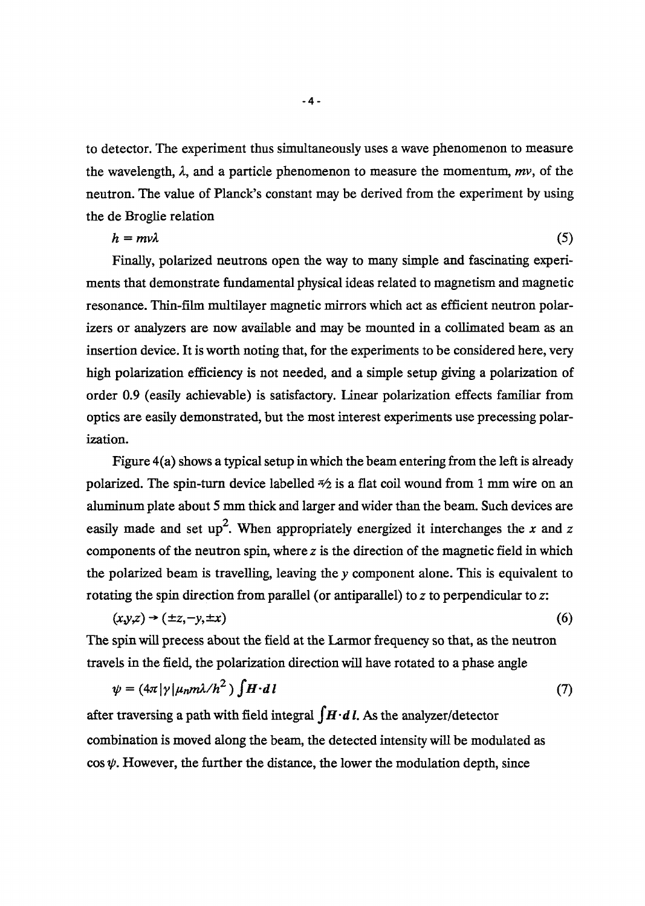to detector. The experiment thus simultaneously uses a wave phenomenon to measure the wavelength,  $\lambda$ , and a particle phenomenon to measure the momentum, mv, of the neutron. The value of Planck's constant may be derived from the experiment by using the de Broglie relation

$$
h = m \nu \lambda \tag{5}
$$

Finally, polarized neutrons open the way to many simple and fascinating experiments that demonstrate fundamental physical ideas related to magnetism and magnetic resonance. Thin-film multilayer magnetic mirrors which act as efficient neutron polarizers or analyzers are now available and may be mounted in a collimated beam as an insertion device. It is worth noting that, for the experiments to be considered here, very high polarization efficiency is not needed, and a simple setup giving a polarization of order 09 (easily achievable) is satisfactory. linear polarization effects familiar from optics are easily demonstrated, but the most interest experiments use precessing polarization.

Figure 4(a) shows a typical setup in which the beam entering from the left is already polarized. The spin-turn device labelled  $\frac{1}{2}$  is a flat coil wound from 1 mm wire on an aluminum plate about 5 mm thick and larger and wider than the beam. Such devices are easily made and set up<sup>2</sup>. When appropriately energized it interchanges the x and z components of the neutron spin, where  $z$  is the direction of the magnetic field in which the polarized beam is travelling, leaving the y component alone. This is equivalent to rotating the spin direction from parallel (or antiparallel) to  $z$  to perpendicular to  $z$ :

$$
(x,y,z) \rightarrow (\pm z, -y, \pm x) \tag{6}
$$

The spin will precess about the field at the Larmor frequency so that, as the neutron travels in the field, the polarization direction will have rotated to a phase angle

$$
\psi = (4\pi |\gamma| \mu_n m \lambda / h^2) \int H \cdot d\,l \tag{7}
$$

after traversing a path with field integral  $\int \mathbf{H} \cdot d\mathbf{l}$ . As the analyzer/detector combination is moved along the beam, the detected intensity will be modulated as  $\cos \psi$ . However, the further the distance, the lower the modulation depth, since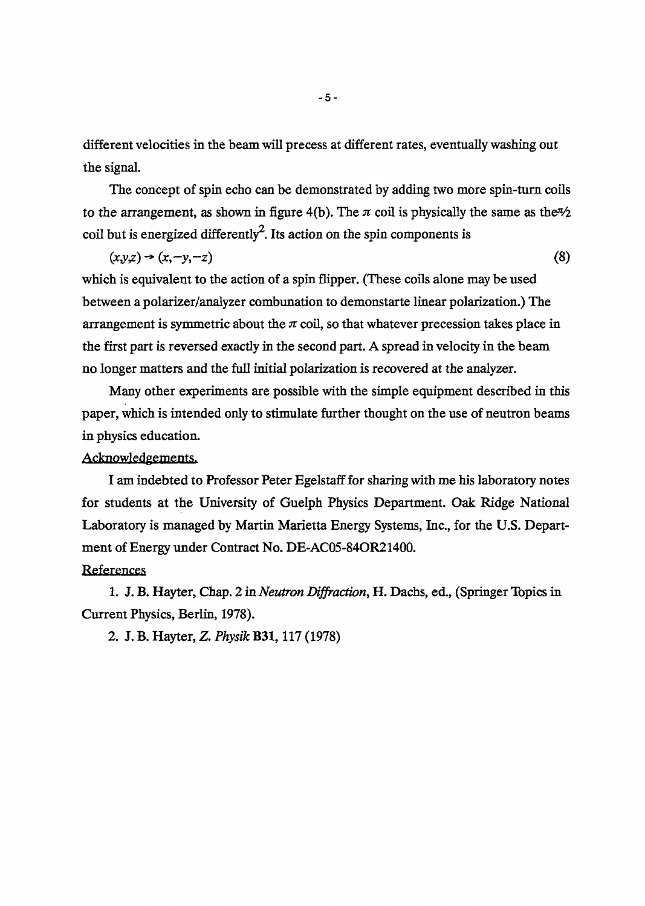different velocities in the beam will precess at different rates, eventually washing out the signal.

The concept of spin echo can be demonstrated by adding two more spin-turn coils to the arrangement, as shown in figure 4(b). The  $\pi$  coil is physically the same as the  $\frac{1}{2}$ coil but is energized differently<sup>2</sup>. Its action on the spin components is

$$
(x,y,z)\to(x,-y,-z)
$$
 (8)

which is equivalent to the action of a spin flipper. (These coils alone may be used between a polarizer/analyzer combunation to demonstarte linear polarization.) The arrangement is symmetric about the  $\pi$  coil, so that whatever precession takes place in the first part is reversed exactly in the second part. A spread in velocity in the beam no longer matters and the full initial polarization is recovered at the analyzer.

Many other experiments are possible with the simple equipment described in this paper, which is intended only to stimulate further thought on the use of neutron beam in physics education.

#### Acknowledgements.

I am indebted to Professor Peter Egelstaff for sharing with me his laboratory notes for students at the University of Guelph Physics Department. Oak Ridge National Laboratory is managed by Martin Marietta Energy Systems, Inc., for the U.S. Department of Energy under Contract No. DE-AC05-84OR21400.

#### References

1. J. B. Hayter, Chap. 2 in *Neutron Diffraction,* H. Dachs, ed., (Springer Topics in Current Physics, Berlin, 1978).

2. J. B. Hayter, Z. *Physik* **B31**, 117 (1978)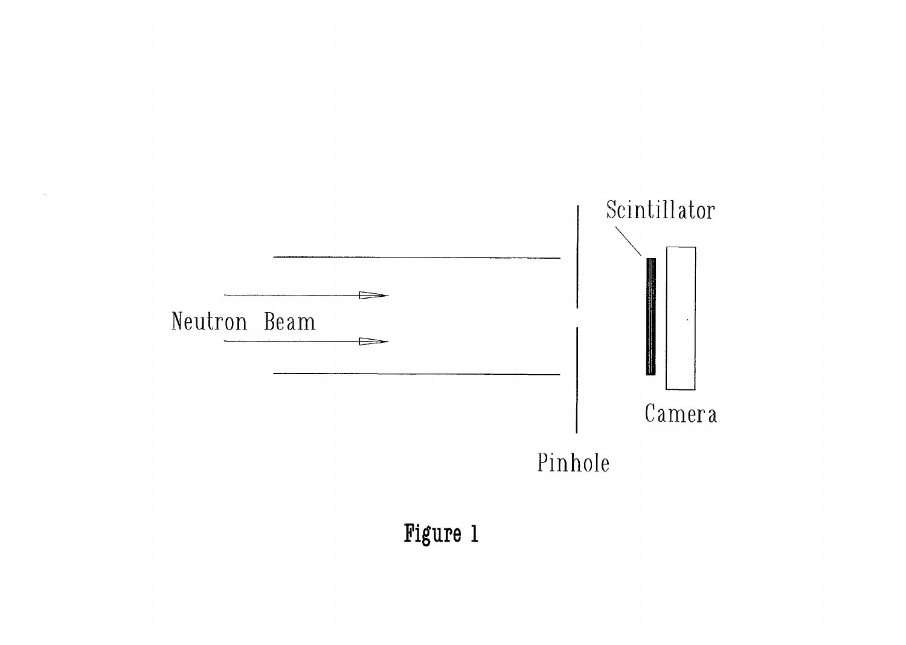

Figure 1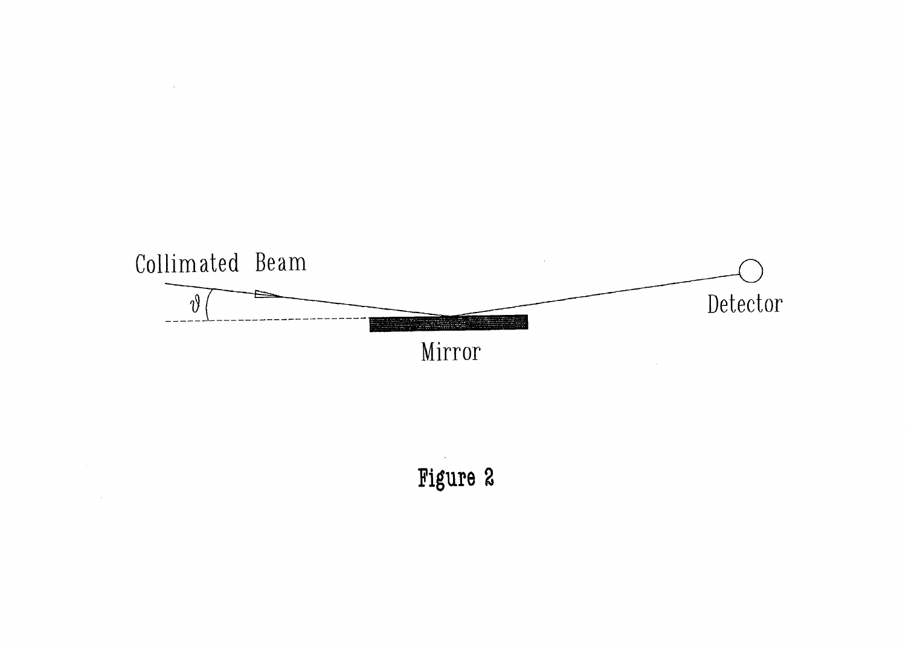

 $\sim$   $\sim$ 

 $\sim$ 

Figure 2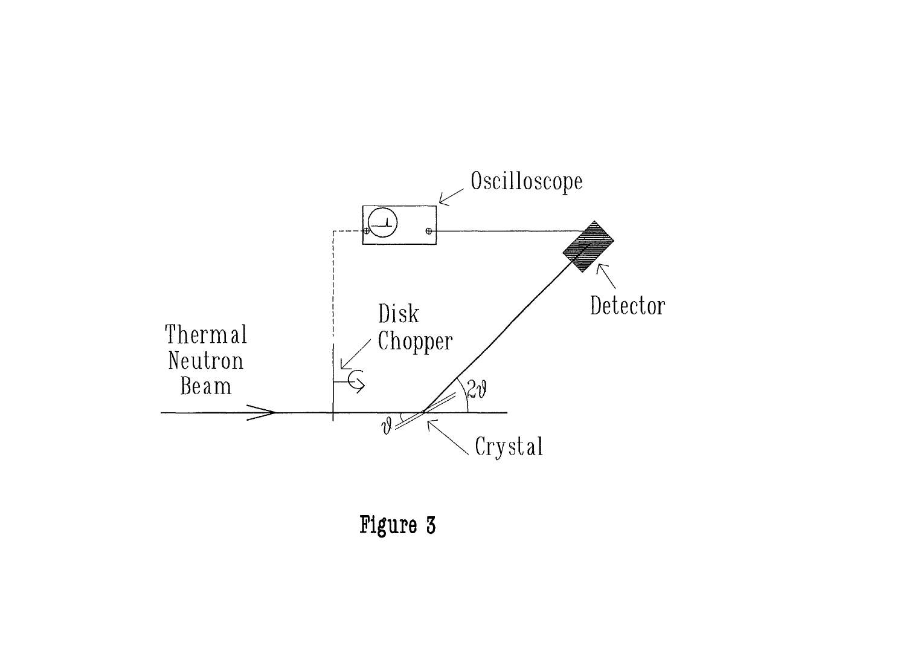

Figure 3